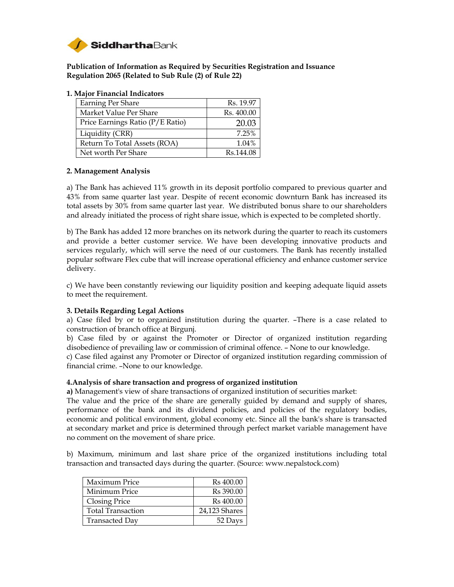

**Publication of Information as Required by Securities Registration and Issuance Regulation 2065 (Related to Sub Rule (2) of Rule 22)** 

| Earning Per Share                | Rs. 19.97  |
|----------------------------------|------------|
| Market Value Per Share           | Rs. 400.00 |
| Price Earnings Ratio (P/E Ratio) | 20.03      |
| Liquidity (CRR)                  | 7.25%      |
| Return To Total Assets (ROA)     | 1.04%      |
| Net worth Per Share              | Rs.144.08  |

#### **1. Major Financial Indicators**

#### **2. Management Analysis**

a) The Bank has achieved 11% growth in its deposit portfolio compared to previous quarter and 43% from same quarter last year. Despite of recent economic downturn Bank has increased its total assets by 30% from same quarter last year. We distributed bonus share to our shareholders and already initiated the process of right share issue, which is expected to be completed shortly.

b) The Bank has added 12 more branches on its network during the quarter to reach its customers and provide a better customer service. We have been developing innovative products and services regularly, which will serve the need of our customers. The Bank has recently installed popular software Flex cube that will increase operational efficiency and enhance customer service delivery.

c) We have been constantly reviewing our liquidity position and keeping adequate liquid assets to meet the requirement.

#### **3. Details Regarding Legal Actions**

a) Case filed by or to organized institution during the quarter. –There is a case related to construction of branch office at Birgunj.

b) Case filed by or against the Promoter or Director of organized institution regarding disobedience of prevailing law or commission of criminal offence. – None to our knowledge.

c) Case filed against any Promoter or Director of organized institution regarding commission of financial crime. –None to our knowledge.

#### **4.Analysis of share transaction and progress of organized institution**

**a)** Management's view of share transactions of organized institution of securities market:

The value and the price of the share are generally guided by demand and supply of shares, performance of the bank and its dividend policies, and policies of the regulatory bodies, economic and political environment, global economy etc. Since all the bank's share is transacted at secondary market and price is determined through perfect market variable management have no comment on the movement of share price.

b) Maximum, minimum and last share price of the organized institutions including total transaction and transacted days during the quarter. (Source: www.nepalstock.com)

| Maximum Price            | Rs 400.00             |
|--------------------------|-----------------------|
| Minimum Price            | R <sub>s</sub> 390.00 |
| <b>Closing Price</b>     | Rs 400.00             |
| <b>Total Transaction</b> | 24,123 Shares         |
| <b>Transacted Day</b>    | 52 Days               |